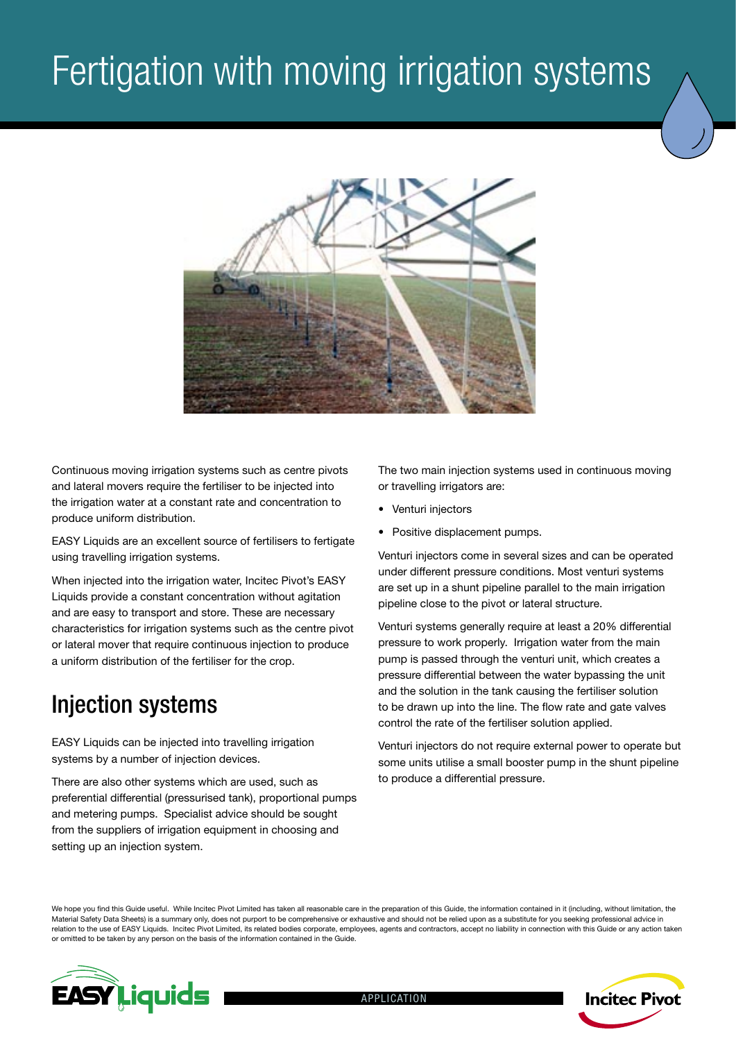# Fertigation with moving irrigation systems



Continuous moving irrigation systems such as centre pivots and lateral movers require the fertiliser to be injected into the irrigation water at a constant rate and concentration to produce uniform distribution.

EASY Liquids are an excellent source of fertilisers to fertigate using travelling irrigation systems.

When injected into the irrigation water, Incitec Pivot's EASY Liquids provide a constant concentration without agitation and are easy to transport and store. These are necessary characteristics for irrigation systems such as the centre pivot or lateral mover that require continuous injection to produce a uniform distribution of the fertiliser for the crop.

#### Injection systems

EASY Liquids can be injected into travelling irrigation systems by a number of injection devices.

There are also other systems which are used, such as preferential differential (pressurised tank), proportional pumps and metering pumps. Specialist advice should be sought from the suppliers of irrigation equipment in choosing and setting up an injection system.

The two main injection systems used in continuous moving or travelling irrigators are:

- Venturi injectors
- Positive displacement pumps.

Venturi injectors come in several sizes and can be operated under different pressure conditions. Most venturi systems are set up in a shunt pipeline parallel to the main irrigation pipeline close to the pivot or lateral structure.

Venturi systems generally require at least a 20% differential pressure to work properly. Irrigation water from the main pump is passed through the venturi unit, which creates a pressure differential between the water bypassing the unit and the solution in the tank causing the fertiliser solution to be drawn up into the line. The flow rate and gate valves control the rate of the fertiliser solution applied.

Venturi injectors do not require external power to operate but some units utilise a small booster pump in the shunt pipeline to produce a differential pressure.

We hope you find this Guide useful. While Incitec Pivot Limited has taken all reasonable care in the preparation of this Guide, the information contained in it (including, without limitation, the Material Safety Data Sheets) is a summary only, does not purport to be comprehensive or exhaustive and should not be relied upon as a substitute for you seeking professional advice in relation to the use of EASY Liquids. Incitec Pivot Limited, its related bodies corporate, employees, agents and contractors, accept no liability in connection with this Guide or any action taken or omitted to be taken by any person on the basis of the information contained in the Guide.

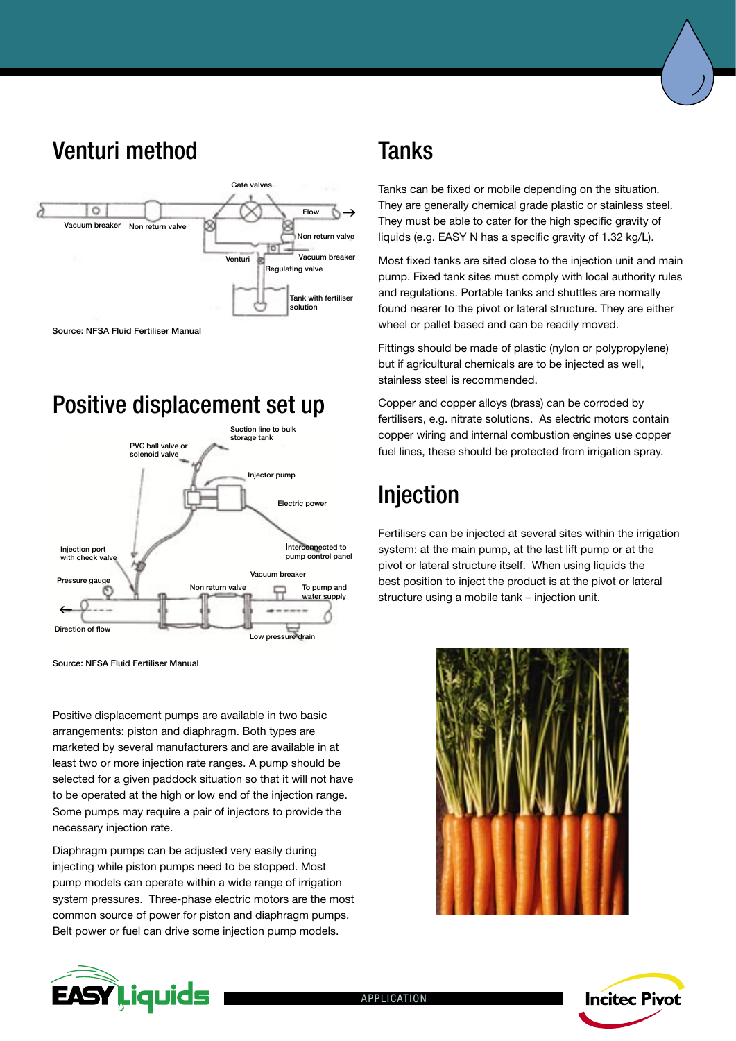

#### Positive displacement set up



Source: NFSA Fluid Fertiliser Manual

Positive displacement pumps are available in two basic arrangements: piston and diaphragm. Both types are marketed by several manufacturers and are available in at least two or more injection rate ranges. A pump should be selected for a given paddock situation so that it will not have to be operated at the high or low end of the injection range. Some pumps may require a pair of injectors to provide the necessary injection rate.

Diaphragm pumps can be adjusted very easily during injecting while piston pumps need to be stopped. Most pump models can operate within a wide range of irrigation system pressures. Three-phase electric motors are the most common source of power for piston and diaphragm pumps. Belt power or fuel can drive some injection pump models.

### Tanks

Tanks can be fixed or mobile depending on the situation. They are generally chemical grade plastic or stainless steel. They must be able to cater for the high specific gravity of liquids (e.g. EASY N has a specific gravity of 1.32 kg/L).

Most fixed tanks are sited close to the injection unit and main pump. Fixed tank sites must comply with local authority rules and regulations. Portable tanks and shuttles are normally found nearer to the pivot or lateral structure. They are either wheel or pallet based and can be readily moved.

Fittings should be made of plastic (nylon or polypropylene) but if agricultural chemicals are to be injected as well, stainless steel is recommended.

Copper and copper alloys (brass) can be corroded by fertilisers, e.g. nitrate solutions. As electric motors contain copper wiring and internal combustion engines use copper fuel lines, these should be protected from irrigation spray.

# Injection

Fertilisers can be injected at several sites within the irrigation system: at the main pump, at the last lift pump or at the pivot or lateral structure itself. When using liquids the best position to inject the product is at the pivot or lateral





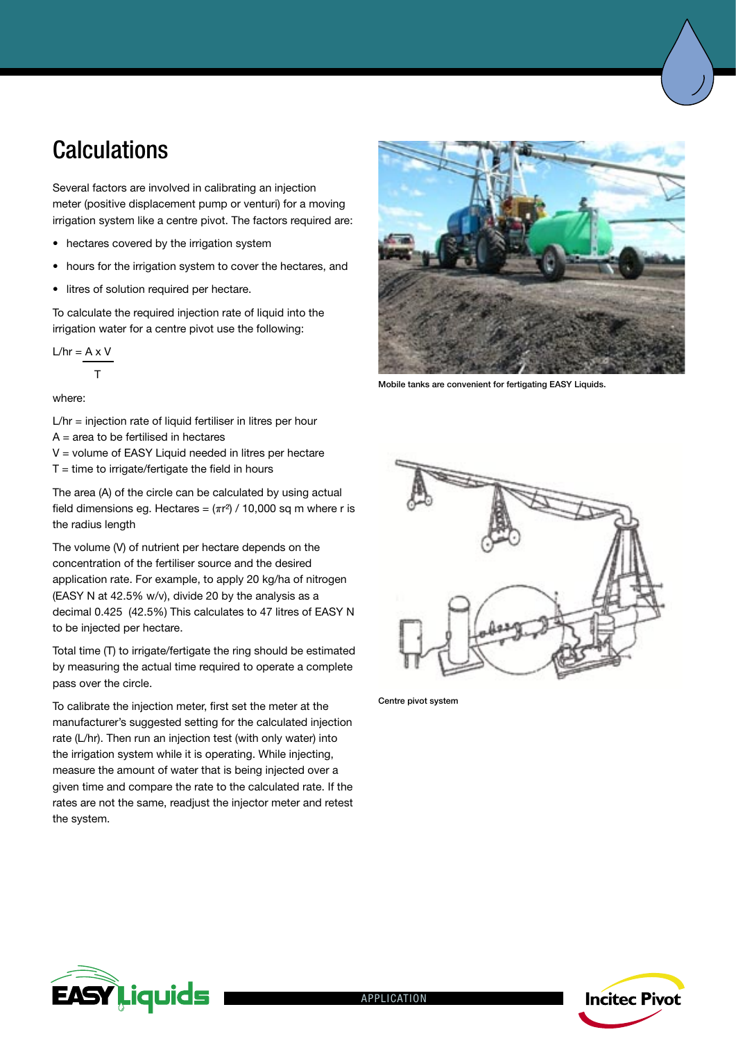### **Calculations**

Several factors are involved in calibrating an injection meter (positive displacement pump or venturi) for a moving irrigation system like a centre pivot. The factors required are:

- hectares covered by the irrigation system
- hours for the irrigation system to cover the hectares, and
- litres of solution required per hectare.

To calculate the required injection rate of liquid into the irrigation water for a centre pivot use the following:

$$
L/hr = A \times V
$$
  
T

where:

 $L/hr = injection rate of liquid fertiliser in litres per hour$  $A =$  area to be fertilised in hectares

- V = volume of EASY Liquid needed in litres per hectare
- $T =$  time to irrigate/fertigate the field in hours

The area (A) of the circle can be calculated by using actual field dimensions eg. Hectares =  $(\pi r^2)$  / 10,000 sq m where r is the radius length

The volume (V) of nutrient per hectare depends on the concentration of the fertiliser source and the desired application rate. For example, to apply 20 kg/ha of nitrogen (EASY N at 42.5% w/v), divide 20 by the analysis as a decimal 0.425 (42.5%) This calculates to 47 litres of EASY N to be injected per hectare.

Total time (T) to irrigate/fertigate the ring should be estimated by measuring the actual time required to operate a complete pass over the circle.

To calibrate the injection meter, first set the meter at the manufacturer's suggested setting for the calculated injection rate (L/hr). Then run an injection test (with only water) into the irrigation system while it is operating. While injecting, measure the amount of water that is being injected over a given time and compare the rate to the calculated rate. If the rates are not the same, readjust the injector meter and retest the system.



Mobile tanks are convenient for fertigating EASY Liquids.



Centre pivot system